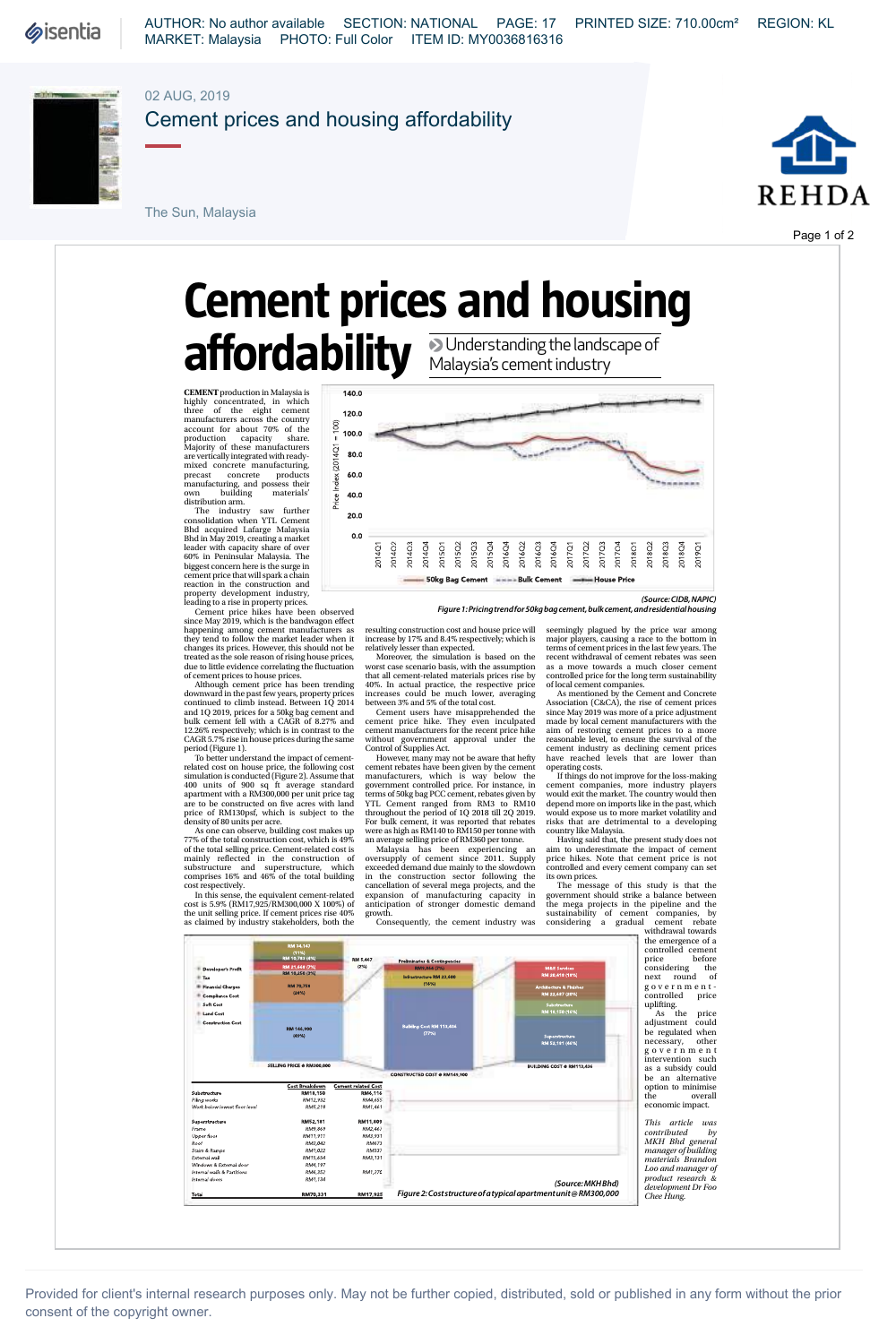

AUTHOR: No author available SECTION: NATIONAL PAGE: 17 PRINTED SIZE: 710.00cm² REGION: KL MARKET: Malaysia PHOTO: Full Color ITEM ID: MY0036816316

## 02 AUG, 2019



Cement prices and housing affordability

The Sun, Malaysia



Page 1 of 2

**Double-storey cluster homes**

**Avira Garden Terraces Double-storey terrace houses Eastern & Oriental Bhd**

**Double-storey terrace houses UEM Sunrise Bhd**

## **Cement prices and housing**  affordability **DUnderstanding the landscape of** Malaysia's cement industry

**CEMENT** production in Malaysia is highly concentrated, in which there of the eight ceneration<br>three of the eight ceneration and the eight ceneration account for about 70% of the Majority of these manufacturers<br>are vertic

leader with capacity share of over 60% in Peninsular Malaysia. The biggest concern here is the surge in cement price that will spark a chain

reaction in the construction and<br>property development industry, leading to a rise in property prices.<br>Cenent price hikes have been observed<br>since May 2019, which is the bandwagon effect<br>happening among cenent manufacturers

treated as the sole reason of rising house prices,<br>detected as the sole reason of rising the fluctuation<br>of cement prices to house prices.<br>Although cement price has been trending<br>downward in the past few years, property pr

period (Figure 1). To better understand the impact of cement-related cost on house price, the following cost simulation is conducted (Figure 2). Assume that 400 units of 900 sq ft average standard apartment with a RM300,000 per unit price tag are to be constructed on five acres with land price of RM130psf, which is subject to the density of 80 units per acre.

As one can observe, building cost makes up 77% of the total construction cost, which is 49% of the total selling price. Cement-related cost is mainly reflected in the construction of substructure and superstructure, which comprises 16% and 46% of the total building

cost respectively. In this sense, the equivalent cement-related cost is 5.9% (RM17,925/RM300,000 X 100%) of the unit selling price. If cement prices rise 40% as claimed by industry stakeholders, both the



*(Source: CIDB, NAPIC) Figure 1: Pricing trend for 50kg bag cement, bulk cement, and residential housing*

resulting construction cost and house price will increase by 17% and 8.4% respectively, which is nelatively lesser than expected.<br>
Moreover, the simulation is based on the conversion worst case scenario basis, with the ass

EDITION OF SUPPIES ACT.<br>
However, many may not be aware that hefty<br>
cement rebates have been given by the cement manufacturers, which is way below the government controlled price. For instance, in terms of 50kg bag PCC cement, rebates given by YTL Cement ranged from RM3 to RM10 throughout the period of 1Q 2018 till 2Q 2019.

For bulk cement, it was reported that rebates<br>were as high as RM140 to RM150 per tonne with<br>an average selling price of RM360 per tonne. Malaysia has been experiencing an<br>oversupply of cement since 2011. Supply<br>to we seede

seemingly plagued by the price war among<br>majny plagued by the price war among<br>majny players, causing a race to the bottom in<br>terms of cement trickes in the last few years. The<br>recent withdrawal of cement rebates was seen<br>a

If things do not improve for the loss-making cement companies, more industry players would exit the market. The country would then depend more on imports like in the past, which would expose us to more market volatility and risks that are detrimental to a developing

country like Malaysia. Having said that, the present study does not aim to underestimate the impact of cement price hikes. Note that cement price is not controlled and every cement company can set

As the price adjustment could be regulated when necessary, other government intervention such as a subsidy could be an alternative option to minimise the overall

*This article was contributed by MKH Bhd general manager of building materials Brandon Loo and manager of product research & development Dr Foo Chee Hung.*



Provided for client's internal research purposes only. May not be further copied, distributed, sold or published in any form without the prior consent of the copyright owner.